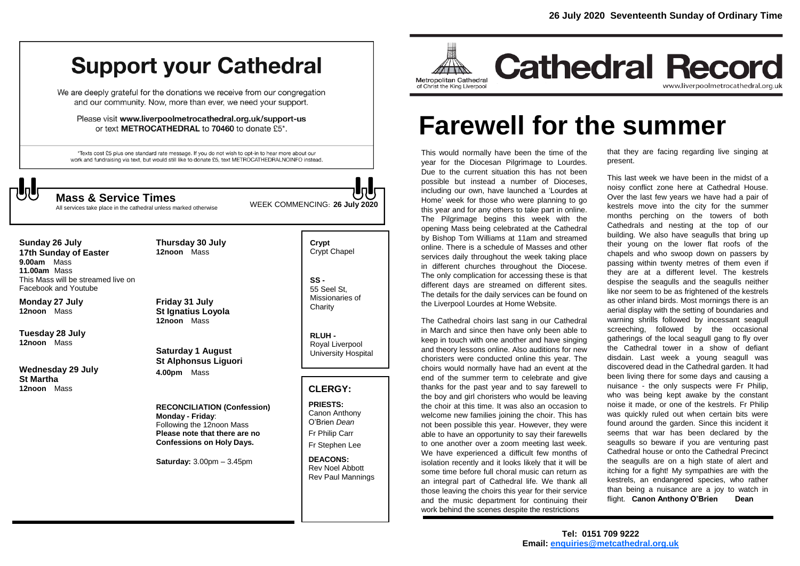## **Support your Cathedral**

We are deeply grateful for the donations we receive from our congregation and our community. Now, more than ever, we need your support.

Please visit www.liverpoolmetrocathedral.org.uk/support-us or text METROCATHEDRAL to 70460 to donate £5\*.

\*Texts cost £5 plus one standard rate message. If you do not wish to opt-in to hear more about our work and fundraising via text, but would still like to donate £5, text METROCATHEDRALNOINFO instead.



All services take place in the cathedral unless marked otherwise

WEEK COMMENCING: **<sup>26</sup> July 2020 Mass & Service Times**

**Sunday 26 July 17th Sunday of Easter 9.00am** Mass **11.00am** Mass This Mass will be streamed live on Facebook and Youtube

**Monday 27 July 12noon** Mass

**Tuesday 28 July 12noon** Mass

**Wednesday 29 July St Martha 12noon** Mass

**Friday 31 July St Ignatius Loyola 12noon** Mass

**Thursday 30 July 12noon** Mass

**Saturday 1 August St Alphonsus Liguori 4.00pm** Mass

**RECONCILIATION (Confession) Monday - Friday**: Following the 12noon Mass **Please note that there are no Confessions on Holy Days.**

**Saturday:** 3.00pm – 3.45pm

**Crypt**  Crypt Chapel

**SS -** 55 Seel St, Missionaries of **Charity** 

**RLUH -** Royal Liverpool University Hospital

## **CLERGY:**

**PRIESTS:** Canon Anthony O'Brien *Dean* Fr Philip Carr Fr Stephen Lee

**DEACONS:** Rev Noel Abbott Rev Paul Mannings



# **Farewell for the summer**

This would normally have been the time of the year for the Diocesan Pilgrimage to Lourdes. Due to the current situation this has not been possible but instead a number of Dioceses, including our own, have launched a 'Lourdes at Home' week for those who were planning to go this year and for any others to take part in online. The Pilgrimage begins this week with the opening Mass being celebrated at the Cathedral by Bishop Tom Williams at 11am and streamed online. There is a schedule of Masses and other services daily throughout the week taking place in different churches throughout the Diocese. The only complication for accessing these is that different days are streamed on different sites. The details for the daily services can be found on the Liverpool Lourdes at Home Website.

The Cathedral choirs last sang in our Cathedral in March and since then have only been able to keep in touch with one another and have singing and theory lessons online. Also auditions for new choristers were conducted online this year. The choirs would normally have had an event at the end of the summer term to celebrate and give thanks for the past year and to say farewell to the boy and girl choristers who would be leaving the choir at this time. It was also an occasion to welcome new families joining the choir. This has not been possible this year. However, they were able to have an opportunity to say their farewells to one another over a zoom meeting last week. We have experienced a difficult few months of isolation recently and it looks likely that it will be some time before full choral music can return as an integral part of Cathedral life. We thank all those leaving the choirs this year for their service and the music department for continuing their work behind the scenes despite the restrictions

that they are facing regarding live singing at present.

This last week we have been in the midst of a noisy conflict zone here at Cathedral House. Over the last few years we have had a pair of kestrels move into the city for the summer months perching on the towers of both Cathedrals and nesting at the top of our building. We also have seagulls that bring up their young on the lower flat roofs of the chapels and who swoop down on passers by passing within twenty metres of them even if they are at a different level. The kestrels despise the seagulls and the seagulls neither like nor seem to be as frightened of the kestrels as other inland birds. Most mornings there is an aerial display with the setting of boundaries and warning shrills followed by incessant seagull screeching, followed by the occasional gatherings of the local seagull gang to fly over the Cathedral tower in a show of defiant disdain. Last week a young seagull was discovered dead in the Cathedral garden. It had been living there for some days and causing a nuisance - the only suspects were Fr Philip, who was being kept awake by the constant noise it made, or one of the kestrels. Fr Philip was quickly ruled out when certain bits were found around the garden. Since this incident it seems that war has been declared by the seagulls so beware if you are venturing past Cathedral house or onto the Cathedral Precinct the seagulls are on a high state of alert and itching for a fight! My sympathies are with the kestrels, an endangered species, who rather than being a nuisance are a joy to watch in flight. **Canon Anthony O'Brien Dean**